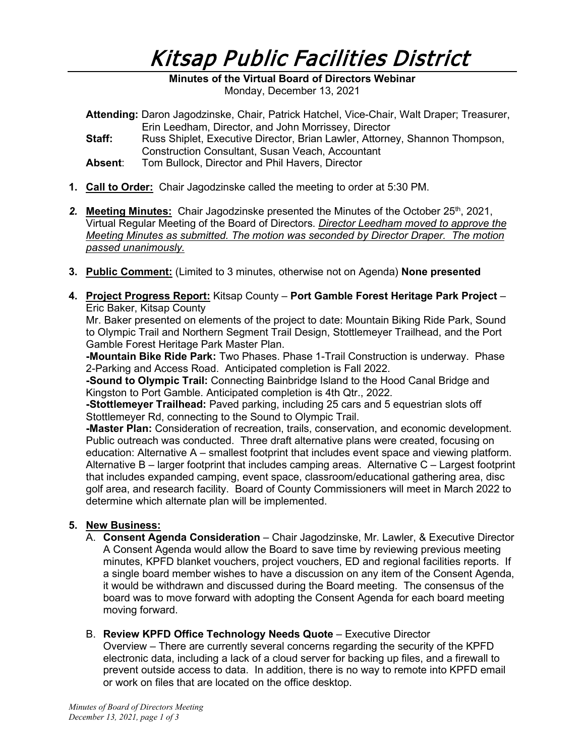## Kitsap Public Facilities District

**Minutes of the Virtual Board of Directors Webinar**  Monday, December 13, 2021

- **Attending:** Daron Jagodzinske, Chair, Patrick Hatchel, Vice-Chair, Walt Draper; Treasurer, Erin Leedham, Director, and John Morrissey, Director
- **Staff:** Russ Shiplet, Executive Director, Brian Lawler, Attorney, Shannon Thompson, Construction Consultant, Susan Veach, Accountant
- **Absent**: Tom Bullock, Director and Phil Havers, Director
- **1. Call to Order:** Chair Jagodzinske called the meeting to order at 5:30 PM.
- *2.* **Meeting Minutes:** Chair Jagodzinske presented the Minutes of the October 25th, 2021, Virtual Regular Meeting of the Board of Directors. *Director Leedham moved to approve the Meeting Minutes as submitted. The motion was seconded by Director Draper. The motion passed unanimously.*
- **3. Public Comment:** (Limited to 3 minutes, otherwise not on Agenda) **None presented**
- **4. Project Progress Report:** Kitsap County **Port Gamble Forest Heritage Park Project** Eric Baker, Kitsap County

Mr. Baker presented on elements of the project to date: Mountain Biking Ride Park, Sound to Olympic Trail and Northern Segment Trail Design, Stottlemeyer Trailhead, and the Port Gamble Forest Heritage Park Master Plan.

**-Mountain Bike Ride Park:** Two Phases. Phase 1-Trail Construction is underway. Phase 2-Parking and Access Road. Anticipated completion is Fall 2022.

**-Sound to Olympic Trail:** Connecting Bainbridge Island to the Hood Canal Bridge and Kingston to Port Gamble. Anticipated completion is 4th Qtr., 2022.

**-Stottlemeyer Trailhead:** Paved parking, including 25 cars and 5 equestrian slots off Stottlemeyer Rd, connecting to the Sound to Olympic Trail.

**-Master Plan:** Consideration of recreation, trails, conservation, and economic development. Public outreach was conducted. Three draft alternative plans were created, focusing on education: Alternative A – smallest footprint that includes event space and viewing platform. Alternative B – larger footprint that includes camping areas. Alternative C – Largest footprint that includes expanded camping, event space, classroom/educational gathering area, disc golf area, and research facility. Board of County Commissioners will meet in March 2022 to determine which alternate plan will be implemented.

## **5. New Business:**

- A. **Consent Agenda Consideration** Chair Jagodzinske, Mr. Lawler, & Executive Director A Consent Agenda would allow the Board to save time by reviewing previous meeting minutes, KPFD blanket vouchers, project vouchers, ED and regional facilities reports. If a single board member wishes to have a discussion on any item of the Consent Agenda, it would be withdrawn and discussed during the Board meeting. The consensus of the board was to move forward with adopting the Consent Agenda for each board meeting moving forward.
- B. **Review KPFD Office Technology Needs Quote** Executive Director Overview – There are currently several concerns regarding the security of the KPFD electronic data, including a lack of a cloud server for backing up files, and a firewall to prevent outside access to data. In addition, there is no way to remote into KPFD email or work on files that are located on the office desktop.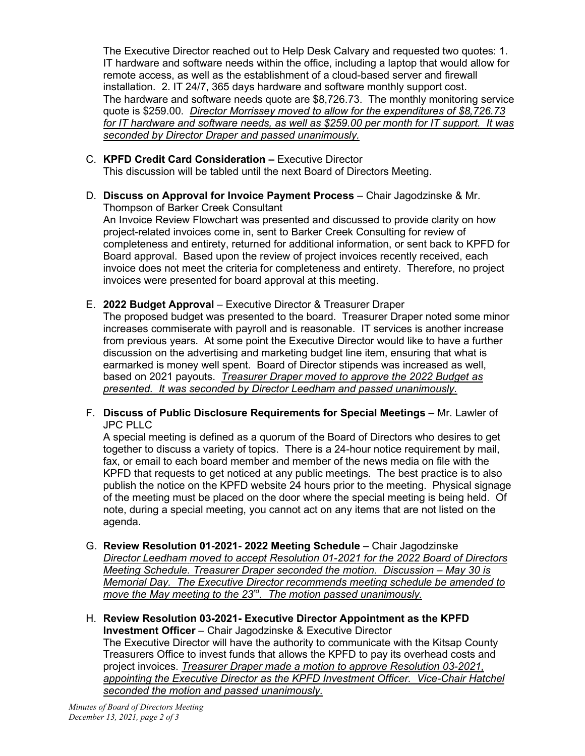The Executive Director reached out to Help Desk Calvary and requested two quotes: 1. IT hardware and software needs within the office, including a laptop that would allow for remote access, as well as the establishment of a cloud-based server and firewall installation. 2. IT 24/7, 365 days hardware and software monthly support cost. The hardware and software needs quote are \$8,726.73. The monthly monitoring service quote is \$259.00. *Director Morrissey moved to allow for the expenditures of \$8,726.73 for IT hardware and software needs, as well as \$259.00 per month for IT support. It was seconded by Director Draper and passed unanimously.*

C. **KPFD Credit Card Consideration –** Executive Director

This discussion will be tabled until the next Board of Directors Meeting.

D. **Discuss on Approval for Invoice Payment Process** – Chair Jagodzinske & Mr. Thompson of Barker Creek Consultant

An Invoice Review Flowchart was presented and discussed to provide clarity on how project-related invoices come in, sent to Barker Creek Consulting for review of completeness and entirety, returned for additional information, or sent back to KPFD for Board approval. Based upon the review of project invoices recently received, each invoice does not meet the criteria for completeness and entirety. Therefore, no project invoices were presented for board approval at this meeting.

E. **2022 Budget Approval** – Executive Director & Treasurer Draper

The proposed budget was presented to the board. Treasurer Draper noted some minor increases commiserate with payroll and is reasonable. IT services is another increase from previous years. At some point the Executive Director would like to have a further discussion on the advertising and marketing budget line item, ensuring that what is earmarked is money well spent. Board of Director stipends was increased as well, based on 2021 payouts. *Treasurer Draper moved to approve the 2022 Budget as presented. It was seconded by Director Leedham and passed unanimously.*

F. **Discuss of Public Disclosure Requirements for Special Meetings** – Mr. Lawler of JPC PLLC

A special meeting is defined as a quorum of the Board of Directors who desires to get together to discuss a variety of topics. There is a 24-hour notice requirement by mail, fax, or email to each board member and member of the news media on file with the KPFD that requests to get noticed at any public meetings. The best practice is to also publish the notice on the KPFD website 24 hours prior to the meeting. Physical signage of the meeting must be placed on the door where the special meeting is being held. Of note, during a special meeting, you cannot act on any items that are not listed on the agenda.

- G. **Review Resolution 01-2021- 2022 Meeting Schedule** Chair Jagodzinske *Director Leedham moved to accept Resolution 01-2021 for the 2022 Board of Directors Meeting Schedule. Treasurer Draper seconded the motion. Discussion – May 30 is Memorial Day. The Executive Director recommends meeting schedule be amended to move the May meeting to the 23rd. The motion passed unanimously.*
- H. **Review Resolution 03-2021- Executive Director Appointment as the KPFD Investment Officer** – Chair Jagodzinske & Executive Director The Executive Director will have the authority to communicate with the Kitsap County Treasurers Office to invest funds that allows the KPFD to pay its overhead costs and project invoices. *Treasurer Draper made a motion to approve Resolution 03-2021, appointing the Executive Director as the KPFD Investment Officer. Vice-Chair Hatchel seconded the motion and passed unanimously.*